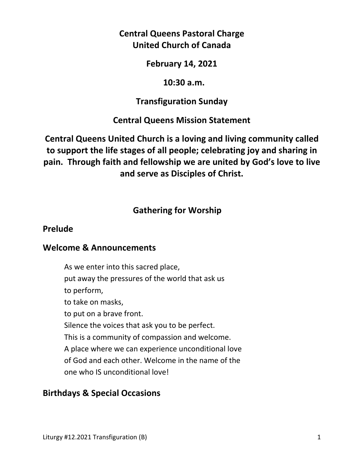# **Central Queens Pastoral Charge United Church of Canada**

## **February 14, 2021**

## **10:30 a.m.**

## **Transfiguration Sunday**

# **Central Queens Mission Statement**

# **Central Queens United Church is a loving and living community called to support the life stages of all people; celebrating joy and sharing in pain. Through faith and fellowship we are united by God's love to live and serve as Disciples of Christ.**

# **Gathering for Worship**

## **Prelude**

#### **Welcome & Announcements**

As we enter into this sacred place, put away the pressures of the world that ask us to perform, to take on masks, to put on a brave front. Silence the voices that ask you to be perfect. This is a community of compassion and welcome. A place where we can experience unconditional love of God and each other. Welcome in the name of the one who IS unconditional love!

## **Birthdays & Special Occasions**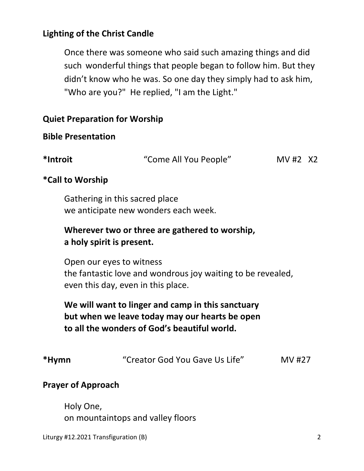# **Lighting of the Christ Candle**

Once there was someone who said such amazing things and did such wonderful things that people began to follow him. But they didn't know who he was. So one day they simply had to ask him, "Who are you?" He replied, "I am the Light."

## **Quiet Preparation for Worship**

## **Bible Presentation**

| *Introit | "Come All You People" | MV #2 X2 |  |
|----------|-----------------------|----------|--|
|          |                       |          |  |

# **\*Call to Worship**

 Gathering in this sacred place we anticipate new wonders each week.

# **Wherever two or three are gathered to worship, a holy spirit is present.**

 Open our eyes to witness the fantastic love and wondrous joy waiting to be revealed, even this day, even in this place.

 **We will want to linger and camp in this sanctuary but when we leave today may our hearts be open to all the wonders of God's beautiful world.** 

# **\*Hymn** "Creator God You Gave Us Life" MV #27

## **Prayer of Approach**

 Holy One, on mountaintops and valley floors

Liturgy #12.2021 Transfiguration (B) 2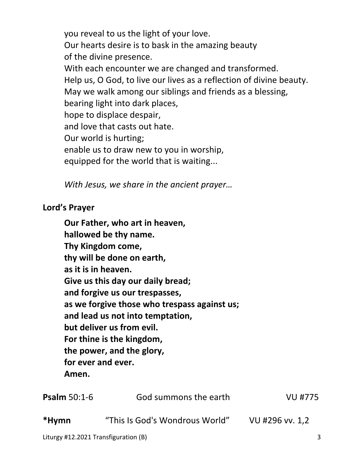you reveal to us the light of your love. Our hearts desire is to bask in the amazing beauty of the divine presence. With each encounter we are changed and transformed. Help us, O God, to live our lives as a reflection of divine beauty. May we walk among our siblings and friends as a blessing, bearing light into dark places, hope to displace despair, and love that casts out hate. Our world is hurting; enable us to draw new to you in worship, equipped for the world that is waiting...

*With Jesus, we share in the ancient prayer…* 

## **Lord's Prayer**

| as it is in heaven.<br>for ever and ever.<br>Amen. | Our Father, who art in heaven,<br>hallowed be thy name.<br>Thy Kingdom come,<br>thy will be done on earth,<br>Give us this day our daily bread;<br>and forgive us our trespasses,<br>as we forgive those who trespass against us;<br>and lead us not into temptation,<br>but deliver us from evil.<br>For thine is the kingdom,<br>the power, and the glory, |                 |
|----------------------------------------------------|--------------------------------------------------------------------------------------------------------------------------------------------------------------------------------------------------------------------------------------------------------------------------------------------------------------------------------------------------------------|-----------------|
| Psalm 50:1-6                                       | God summons the earth                                                                                                                                                                                                                                                                                                                                        | <b>VU #775</b>  |
| *Hymn                                              | "This Is God's Wondrous World"                                                                                                                                                                                                                                                                                                                               | VU #296 vv. 1,2 |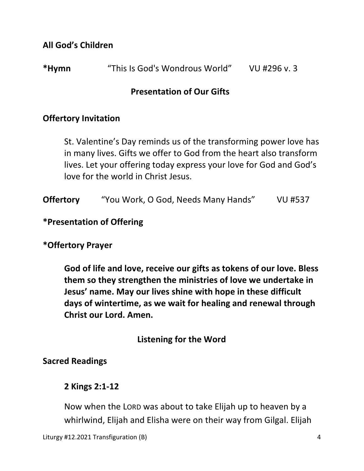**All God's Children** 

## **Presentation of Our Gifts**

## **Offertory Invitation**

 St. Valentine's Day reminds us of the transforming power love has in many lives. Gifts we offer to God from the heart also transform lives. Let your offering today express your love for God and God's love for the world in Christ Jesus.

**Offertory** "You Work, O God, Needs Many Hands" VU #537

## **\*Presentation of Offering**

#### **\*Offertory Prayer**

**God of life and love, receive our gifts as tokens of our love. Bless them so they strengthen the ministries of love we undertake in Jesus' name. May our lives shine with hope in these difficult days of wintertime, as we wait for healing and renewal through Christ our Lord. Amen.** 

## **Listening for the Word**

#### **Sacred Readings**

## **2 Kings 2:1-12**

 Now when the LORD was about to take Elijah up to heaven by a whirlwind, Elijah and Elisha were on their way from Gilgal. Elijah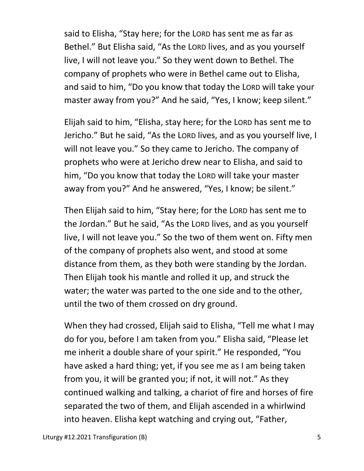said to Elisha, "Stay here; for the LORD has sent me as far as Bethel." But Elisha said, "As the LORD lives, and as you yourself live, I will not leave you." So they went down to Bethel. The company of prophets who were in Bethel came out to Elisha, and said to him, "Do you know that today the LORD will take your master away from you?" And he said, "Yes, I know; keep silent."

Elijah said to him, "Elisha, stay here; for the LORD has sent me to Jericho." But he said, "As the LORD lives, and as you yourself live, I will not leave you." So they came to Jericho. The company of prophets who were at Jericho drew near to Elisha, and said to him, "Do you know that today the LORD will take your master away from you?" And he answered, "Yes, I know; be silent."

Then Elijah said to him, "Stay here; for the LORD has sent me to the Jordan." But he said, "As the LORD lives, and as you yourself live, I will not leave you." So the two of them went on. Fifty men of the company of prophets also went, and stood at some distance from them, as they both were standing by the Jordan. Then Elijah took his mantle and rolled it up, and struck the water; the water was parted to the one side and to the other, until the two of them crossed on dry ground.

When they had crossed, Elijah said to Elisha, "Tell me what I may do for you, before I am taken from you." Elisha said, "Please let me inherit a double share of your spirit." He responded, "You have asked a hard thing; yet, if you see me as I am being taken from you, it will be granted you; if not, it will not." As they continued walking and talking, a chariot of fire and horses of fire separated the two of them, and Elijah ascended in a whirlwind into heaven. Elisha kept watching and crying out, "Father,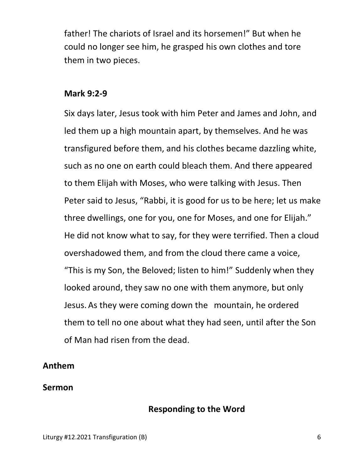father! The chariots of Israel and its horsemen!" But when he could no longer see him, he grasped his own clothes and tore them in two pieces.

#### **Mark 9:2-9**

Six days later, Jesus took with him Peter and James and John, and led them up a high mountain apart, by themselves. And he was transfigured before them, and his clothes became dazzling white, such as no one on earth could bleach them. And there appeared to them Elijah with Moses, who were talking with Jesus. Then Peter said to Jesus, "Rabbi, it is good for us to be here; let us make three dwellings, one for you, one for Moses, and one for Elijah." He did not know what to say, for they were terrified. Then a cloud overshadowed them, and from the cloud there came a voice, "This is my Son, the Beloved; listen to him!" Suddenly when they looked around, they saw no one with them anymore, but only Jesus. As they were coming down the mountain, he ordered them to tell no one about what they had seen, until after the Son of Man had risen from the dead.

#### **Anthem**

#### **Sermon**

#### **Responding to the Word**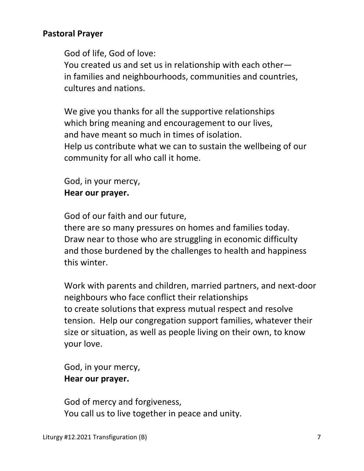## **Pastoral Prayer**

God of life, God of love:

 You created us and set us in relationship with each other in families and neighbourhoods, communities and countries, cultures and nations.

 We give you thanks for all the supportive relationships which bring meaning and encouragement to our lives, and have meant so much in times of isolation. Help us contribute what we can to sustain the wellbeing of our community for all who call it home.

 God, in your mercy,  **Hear our prayer.** 

God of our faith and our future,

 there are so many pressures on homes and families today. Draw near to those who are struggling in economic difficulty and those burdened by the challenges to health and happiness this winter.

 Work with parents and children, married partners, and next-door neighbours who face conflict their relationships to create solutions that express mutual respect and resolve tension. Help our congregation support families, whatever their size or situation, as well as people living on their own, to know your love.

 God, in your mercy,  **Hear our prayer.** 

 God of mercy and forgiveness, You call us to live together in peace and unity.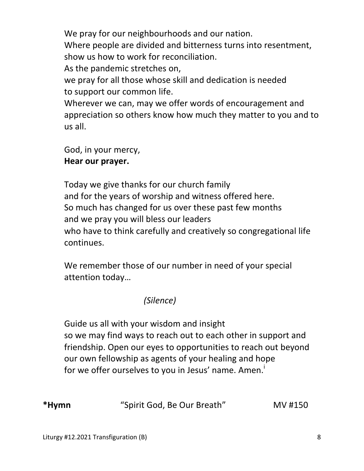We pray for our neighbourhoods and our nation. Where people are divided and bitterness turns into resentment, show us how to work for reconciliation. As the pandemic stretches on,

 we pray for all those whose skill and dedication is needed to support our common life.

 Wherever we can, may we offer words of encouragement and appreciation so others know how much they matter to you and to us all.

 God, in your mercy,  **Hear our prayer.** 

 Today we give thanks for our church family and for the years of worship and witness offered here. So much has changed for us over these past few months and we pray you will bless our leaders who have to think carefully and creatively so congregational life continues.

 We remember those of our number in need of your special attention today…

# *(Silence)*

 Guide us all with your wisdom and insight so we may find ways to reach out to each other in support and friendship. Open our eyes to opportunities to reach out beyond our own fellowship as agents of your healing and hope for we offer ourselves to you in Jesus' name. Amen.

**\*Hymn** "Spirit God, Be Our Breath" MV #150